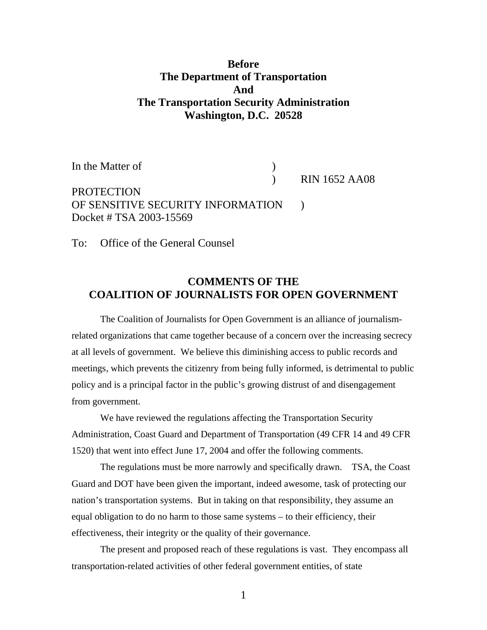# **Before The Department of Transportation And The Transportation Security Administration Washington, D.C. 20528**

In the Matter of  $\qquad \qquad$  )

) RIN 1652 AA08

PROTECTION OF SENSITIVE SECURITY INFORMATION ) Docket # TSA 2003-15569

To: Office of the General Counsel

# **COMMENTS OF THE COALITION OF JOURNALISTS FOR OPEN GOVERNMENT**

The Coalition of Journalists for Open Government is an alliance of journalismrelated organizations that came together because of a concern over the increasing secrecy at all levels of government. We believe this diminishing access to public records and meetings, which prevents the citizenry from being fully informed, is detrimental to public policy and is a principal factor in the public's growing distrust of and disengagement from government.

We have reviewed the regulations affecting the Transportation Security Administration, Coast Guard and Department of Transportation (49 CFR 14 and 49 CFR 1520) that went into effect June 17, 2004 and offer the following comments.

The regulations must be more narrowly and specifically drawn. TSA, the Coast Guard and DOT have been given the important, indeed awesome, task of protecting our nation's transportation systems. But in taking on that responsibility, they assume an equal obligation to do no harm to those same systems – to their efficiency, their effectiveness, their integrity or the quality of their governance.

The present and proposed reach of these regulations is vast. They encompass all transportation-related activities of other federal government entities, of state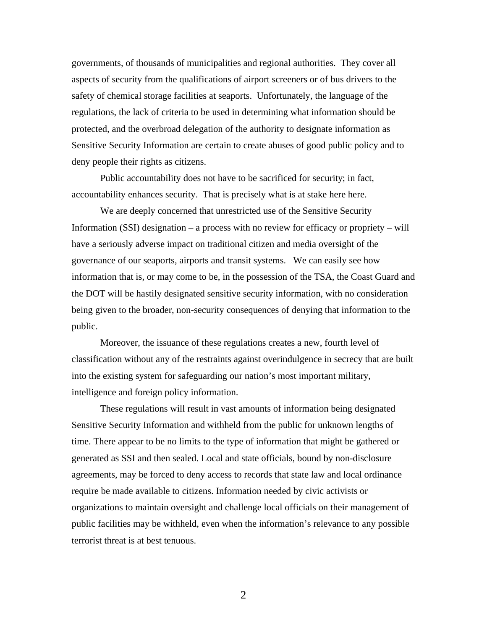governments, of thousands of municipalities and regional authorities. They cover all aspects of security from the qualifications of airport screeners or of bus drivers to the safety of chemical storage facilities at seaports. Unfortunately, the language of the regulations, the lack of criteria to be used in determining what information should be protected, and the overbroad delegation of the authority to designate information as Sensitive Security Information are certain to create abuses of good public policy and to deny people their rights as citizens.

Public accountability does not have to be sacrificed for security; in fact, accountability enhances security. That is precisely what is at stake here here.

We are deeply concerned that unrestricted use of the Sensitive Security Information (SSI) designation – a process with no review for efficacy or propriety – will have a seriously adverse impact on traditional citizen and media oversight of the governance of our seaports, airports and transit systems. We can easily see how information that is, or may come to be, in the possession of the TSA, the Coast Guard and the DOT will be hastily designated sensitive security information, with no consideration being given to the broader, non-security consequences of denying that information to the public.

Moreover, the issuance of these regulations creates a new, fourth level of classification without any of the restraints against overindulgence in secrecy that are built into the existing system for safeguarding our nation's most important military, intelligence and foreign policy information.

These regulations will result in vast amounts of information being designated Sensitive Security Information and withheld from the public for unknown lengths of time. There appear to be no limits to the type of information that might be gathered or generated as SSI and then sealed. Local and state officials, bound by non-disclosure agreements, may be forced to deny access to records that state law and local ordinance require be made available to citizens. Information needed by civic activists or organizations to maintain oversight and challenge local officials on their management of public facilities may be withheld, even when the information's relevance to any possible terrorist threat is at best tenuous.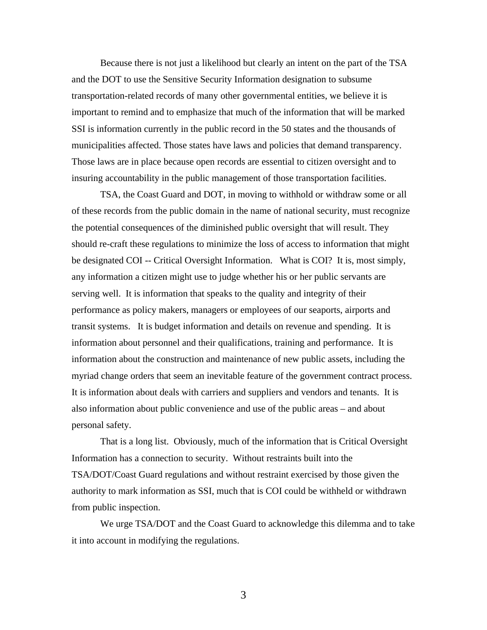Because there is not just a likelihood but clearly an intent on the part of the TSA and the DOT to use the Sensitive Security Information designation to subsume transportation-related records of many other governmental entities, we believe it is important to remind and to emphasize that much of the information that will be marked SSI is information currently in the public record in the 50 states and the thousands of municipalities affected. Those states have laws and policies that demand transparency. Those laws are in place because open records are essential to citizen oversight and to insuring accountability in the public management of those transportation facilities.

TSA, the Coast Guard and DOT, in moving to withhold or withdraw some or all of these records from the public domain in the name of national security, must recognize the potential consequences of the diminished public oversight that will result. They should re-craft these regulations to minimize the loss of access to information that might be designated COI -- Critical Oversight Information. What is COI? It is, most simply, any information a citizen might use to judge whether his or her public servants are serving well. It is information that speaks to the quality and integrity of their performance as policy makers, managers or employees of our seaports, airports and transit systems. It is budget information and details on revenue and spending. It is information about personnel and their qualifications, training and performance. It is information about the construction and maintenance of new public assets, including the myriad change orders that seem an inevitable feature of the government contract process. It is information about deals with carriers and suppliers and vendors and tenants. It is also information about public convenience and use of the public areas – and about personal safety.

That is a long list. Obviously, much of the information that is Critical Oversight Information has a connection to security. Without restraints built into the TSA/DOT/Coast Guard regulations and without restraint exercised by those given the authority to mark information as SSI, much that is COI could be withheld or withdrawn from public inspection.

We urge TSA/DOT and the Coast Guard to acknowledge this dilemma and to take it into account in modifying the regulations.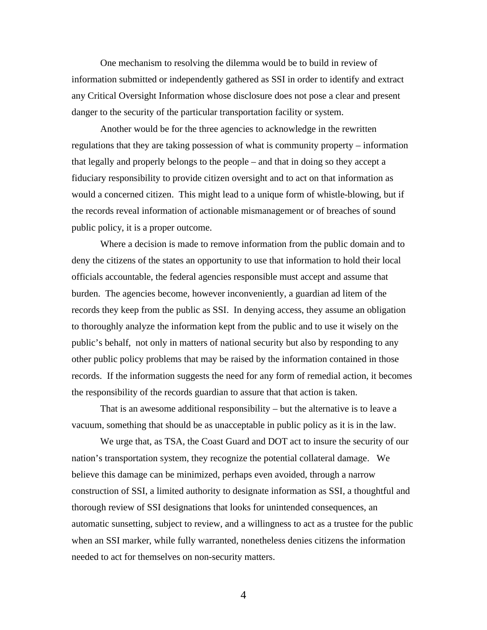One mechanism to resolving the dilemma would be to build in review of information submitted or independently gathered as SSI in order to identify and extract any Critical Oversight Information whose disclosure does not pose a clear and present danger to the security of the particular transportation facility or system.

Another would be for the three agencies to acknowledge in the rewritten regulations that they are taking possession of what is community property – information that legally and properly belongs to the people – and that in doing so they accept a fiduciary responsibility to provide citizen oversight and to act on that information as would a concerned citizen. This might lead to a unique form of whistle-blowing, but if the records reveal information of actionable mismanagement or of breaches of sound public policy, it is a proper outcome.

Where a decision is made to remove information from the public domain and to deny the citizens of the states an opportunity to use that information to hold their local officials accountable, the federal agencies responsible must accept and assume that burden. The agencies become, however inconveniently, a guardian ad litem of the records they keep from the public as SSI. In denying access, they assume an obligation to thoroughly analyze the information kept from the public and to use it wisely on the public's behalf, not only in matters of national security but also by responding to any other public policy problems that may be raised by the information contained in those records. If the information suggests the need for any form of remedial action, it becomes the responsibility of the records guardian to assure that that action is taken.

That is an awesome additional responsibility – but the alternative is to leave a vacuum, something that should be as unacceptable in public policy as it is in the law.

We urge that, as TSA, the Coast Guard and DOT act to insure the security of our nation's transportation system, they recognize the potential collateral damage. We believe this damage can be minimized, perhaps even avoided, through a narrow construction of SSI, a limited authority to designate information as SSI, a thoughtful and thorough review of SSI designations that looks for unintended consequences, an automatic sunsetting, subject to review, and a willingness to act as a trustee for the public when an SSI marker, while fully warranted, nonetheless denies citizens the information needed to act for themselves on non-security matters.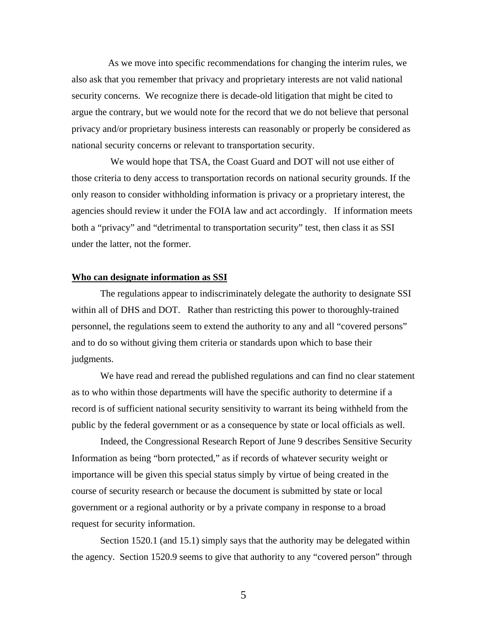As we move into specific recommendations for changing the interim rules, we also ask that you remember that privacy and proprietary interests are not valid national security concerns. We recognize there is decade-old litigation that might be cited to argue the contrary, but we would note for the record that we do not believe that personal privacy and/or proprietary business interests can reasonably or properly be considered as national security concerns or relevant to transportation security.

 We would hope that TSA, the Coast Guard and DOT will not use either of those criteria to deny access to transportation records on national security grounds. If the only reason to consider withholding information is privacy or a proprietary interest, the agencies should review it under the FOIA law and act accordingly. If information meets both a "privacy" and "detrimental to transportation security" test, then class it as SSI under the latter, not the former.

## **Who can designate information as SSI**

The regulations appear to indiscriminately delegate the authority to designate SSI within all of DHS and DOT. Rather than restricting this power to thoroughly-trained personnel, the regulations seem to extend the authority to any and all "covered persons" and to do so without giving them criteria or standards upon which to base their judgments.

We have read and reread the published regulations and can find no clear statement as to who within those departments will have the specific authority to determine if a record is of sufficient national security sensitivity to warrant its being withheld from the public by the federal government or as a consequence by state or local officials as well.

Indeed, the Congressional Research Report of June 9 describes Sensitive Security Information as being "born protected," as if records of whatever security weight or importance will be given this special status simply by virtue of being created in the course of security research or because the document is submitted by state or local government or a regional authority or by a private company in response to a broad request for security information.

Section 1520.1 (and 15.1) simply says that the authority may be delegated within the agency. Section 1520.9 seems to give that authority to any "covered person" through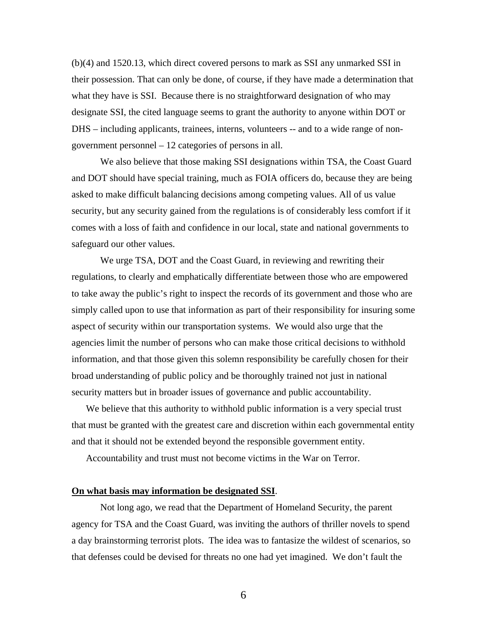(b)(4) and 1520.13, which direct covered persons to mark as SSI any unmarked SSI in their possession. That can only be done, of course, if they have made a determination that what they have is SSI. Because there is no straightforward designation of who may designate SSI, the cited language seems to grant the authority to anyone within DOT or DHS – including applicants, trainees, interns, volunteers -- and to a wide range of nongovernment personnel – 12 categories of persons in all.

We also believe that those making SSI designations within TSA, the Coast Guard and DOT should have special training, much as FOIA officers do, because they are being asked to make difficult balancing decisions among competing values. All of us value security, but any security gained from the regulations is of considerably less comfort if it comes with a loss of faith and confidence in our local, state and national governments to safeguard our other values.

We urge TSA, DOT and the Coast Guard, in reviewing and rewriting their regulations, to clearly and emphatically differentiate between those who are empowered to take away the public's right to inspect the records of its government and those who are simply called upon to use that information as part of their responsibility for insuring some aspect of security within our transportation systems. We would also urge that the agencies limit the number of persons who can make those critical decisions to withhold information, and that those given this solemn responsibility be carefully chosen for their broad understanding of public policy and be thoroughly trained not just in national security matters but in broader issues of governance and public accountability.

We believe that this authority to withhold public information is a very special trust that must be granted with the greatest care and discretion within each governmental entity and that it should not be extended beyond the responsible government entity.

Accountability and trust must not become victims in the War on Terror.

## **On what basis may information be designated SSI**.

Not long ago, we read that the Department of Homeland Security, the parent agency for TSA and the Coast Guard, was inviting the authors of thriller novels to spend a day brainstorming terrorist plots. The idea was to fantasize the wildest of scenarios, so that defenses could be devised for threats no one had yet imagined. We don't fault the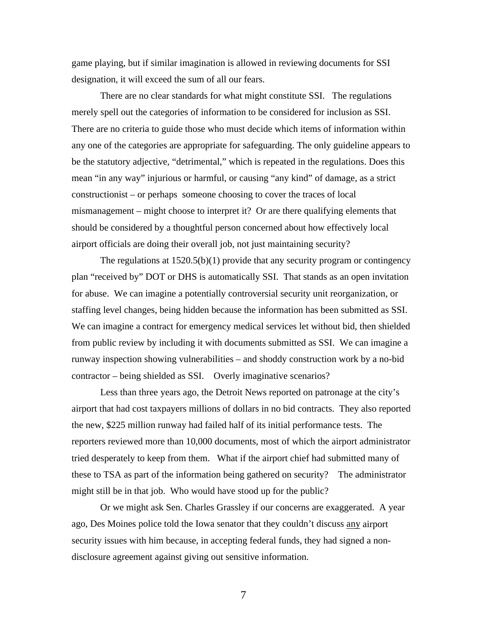game playing, but if similar imagination is allowed in reviewing documents for SSI designation, it will exceed the sum of all our fears.

There are no clear standards for what might constitute SSI. The regulations merely spell out the categories of information to be considered for inclusion as SSI. There are no criteria to guide those who must decide which items of information within any one of the categories are appropriate for safeguarding. The only guideline appears to be the statutory adjective, "detrimental," which is repeated in the regulations. Does this mean "in any way" injurious or harmful, or causing "any kind" of damage, as a strict constructionist – or perhaps someone choosing to cover the traces of local mismanagement – might choose to interpret it? Or are there qualifying elements that should be considered by a thoughtful person concerned about how effectively local airport officials are doing their overall job, not just maintaining security?

The regulations at  $1520.5(b)(1)$  provide that any security program or contingency plan "received by" DOT or DHS is automatically SSI. That stands as an open invitation for abuse. We can imagine a potentially controversial security unit reorganization, or staffing level changes, being hidden because the information has been submitted as SSI. We can imagine a contract for emergency medical services let without bid, then shielded from public review by including it with documents submitted as SSI. We can imagine a runway inspection showing vulnerabilities – and shoddy construction work by a no-bid contractor – being shielded as SSI. Overly imaginative scenarios?

Less than three years ago, the Detroit News reported on patronage at the city's airport that had cost taxpayers millions of dollars in no bid contracts. They also reported the new, \$225 million runway had failed half of its initial performance tests. The reporters reviewed more than 10,000 documents, most of which the airport administrator tried desperately to keep from them. What if the airport chief had submitted many of these to TSA as part of the information being gathered on security? The administrator might still be in that job. Who would have stood up for the public?

Or we might ask Sen. Charles Grassley if our concerns are exaggerated. A year ago, Des Moines police told the Iowa senator that they couldn't discuss any airport security issues with him because, in accepting federal funds, they had signed a nondisclosure agreement against giving out sensitive information.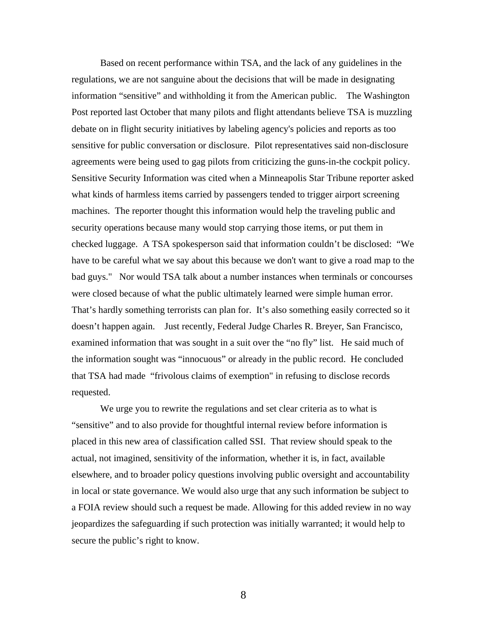Based on recent performance within TSA, and the lack of any guidelines in the regulations, we are not sanguine about the decisions that will be made in designating information "sensitive" and withholding it from the American public. The Washington Post reported last October that many pilots and flight attendants believe TSA is muzzling debate on in flight security initiatives by labeling agency's policies and reports as too sensitive for public conversation or disclosure. Pilot representatives said non-disclosure agreements were being used to gag pilots from criticizing the guns-in-the cockpit policy. Sensitive Security Information was cited when a Minneapolis Star Tribune reporter asked what kinds of harmless items carried by passengers tended to trigger airport screening machines. The reporter thought this information would help the traveling public and security operations because many would stop carrying those items, or put them in checked luggage. A TSA spokesperson said that information couldn't be disclosed: "We have to be careful what we say about this because we don't want to give a road map to the bad guys." Nor would TSA talk about a number instances when terminals or concourses were closed because of what the public ultimately learned were simple human error. That's hardly something terrorists can plan for. It's also something easily corrected so it doesn't happen again. Just recently, Federal Judge Charles R. Breyer, San Francisco, examined information that was sought in a suit over the "no fly" list. He said much of the information sought was "innocuous" or already in the public record. He concluded that TSA had made "frivolous claims of exemption" in refusing to disclose records requested.

We urge you to rewrite the regulations and set clear criteria as to what is "sensitive" and to also provide for thoughtful internal review before information is placed in this new area of classification called SSI. That review should speak to the actual, not imagined, sensitivity of the information, whether it is, in fact, available elsewhere, and to broader policy questions involving public oversight and accountability in local or state governance. We would also urge that any such information be subject to a FOIA review should such a request be made. Allowing for this added review in no way jeopardizes the safeguarding if such protection was initially warranted; it would help to secure the public's right to know.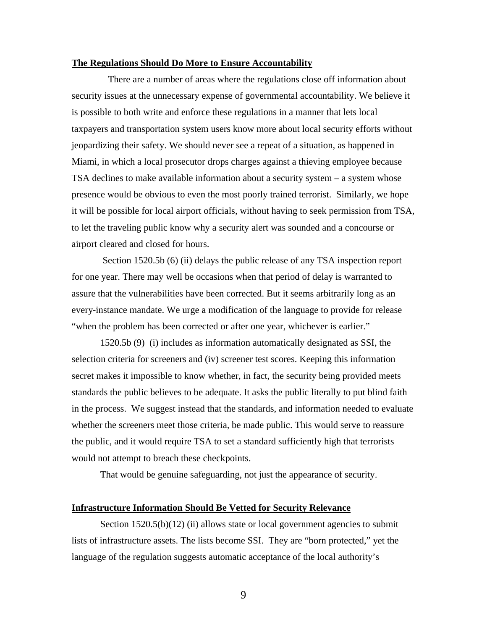#### **The Regulations Should Do More to Ensure Accountability**

There are a number of areas where the regulations close off information about security issues at the unnecessary expense of governmental accountability. We believe it is possible to both write and enforce these regulations in a manner that lets local taxpayers and transportation system users know more about local security efforts without jeopardizing their safety. We should never see a repeat of a situation, as happened in Miami, in which a local prosecutor drops charges against a thieving employee because TSA declines to make available information about a security system – a system whose presence would be obvious to even the most poorly trained terrorist. Similarly, we hope it will be possible for local airport officials, without having to seek permission from TSA, to let the traveling public know why a security alert was sounded and a concourse or airport cleared and closed for hours.

Section 1520.5b (6) (ii) delays the public release of any TSA inspection report for one year. There may well be occasions when that period of delay is warranted to assure that the vulnerabilities have been corrected. But it seems arbitrarily long as an every-instance mandate. We urge a modification of the language to provide for release "when the problem has been corrected or after one year, whichever is earlier."

1520.5b (9) (i) includes as information automatically designated as SSI, the selection criteria for screeners and (iv) screener test scores. Keeping this information secret makes it impossible to know whether, in fact, the security being provided meets standards the public believes to be adequate. It asks the public literally to put blind faith in the process. We suggest instead that the standards, and information needed to evaluate whether the screeners meet those criteria, be made public. This would serve to reassure the public, and it would require TSA to set a standard sufficiently high that terrorists would not attempt to breach these checkpoints.

That would be genuine safeguarding, not just the appearance of security.

## **Infrastructure Information Should Be Vetted for Security Relevance**

Section 1520.5(b)(12) (ii) allows state or local government agencies to submit lists of infrastructure assets. The lists become SSI. They are "born protected," yet the language of the regulation suggests automatic acceptance of the local authority's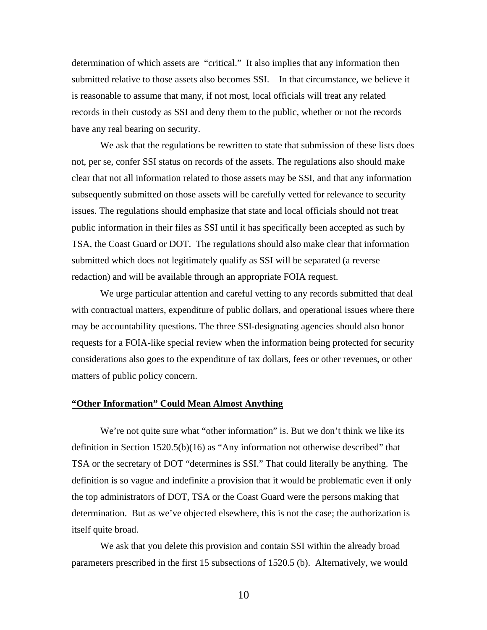determination of which assets are "critical." It also implies that any information then submitted relative to those assets also becomes SSI. In that circumstance, we believe it is reasonable to assume that many, if not most, local officials will treat any related records in their custody as SSI and deny them to the public, whether or not the records have any real bearing on security.

We ask that the regulations be rewritten to state that submission of these lists does not, per se, confer SSI status on records of the assets. The regulations also should make clear that not all information related to those assets may be SSI, and that any information subsequently submitted on those assets will be carefully vetted for relevance to security issues. The regulations should emphasize that state and local officials should not treat public information in their files as SSI until it has specifically been accepted as such by TSA, the Coast Guard or DOT. The regulations should also make clear that information submitted which does not legitimately qualify as SSI will be separated (a reverse redaction) and will be available through an appropriate FOIA request.

We urge particular attention and careful vetting to any records submitted that deal with contractual matters, expenditure of public dollars, and operational issues where there may be accountability questions. The three SSI-designating agencies should also honor requests for a FOIA-like special review when the information being protected for security considerations also goes to the expenditure of tax dollars, fees or other revenues, or other matters of public policy concern.

### **"Other Information" Could Mean Almost Anything**

We're not quite sure what "other information" is. But we don't think we like its definition in Section 1520.5(b)(16) as "Any information not otherwise described" that TSA or the secretary of DOT "determines is SSI." That could literally be anything. The definition is so vague and indefinite a provision that it would be problematic even if only the top administrators of DOT, TSA or the Coast Guard were the persons making that determination. But as we've objected elsewhere, this is not the case; the authorization is itself quite broad.

We ask that you delete this provision and contain SSI within the already broad parameters prescribed in the first 15 subsections of 1520.5 (b). Alternatively, we would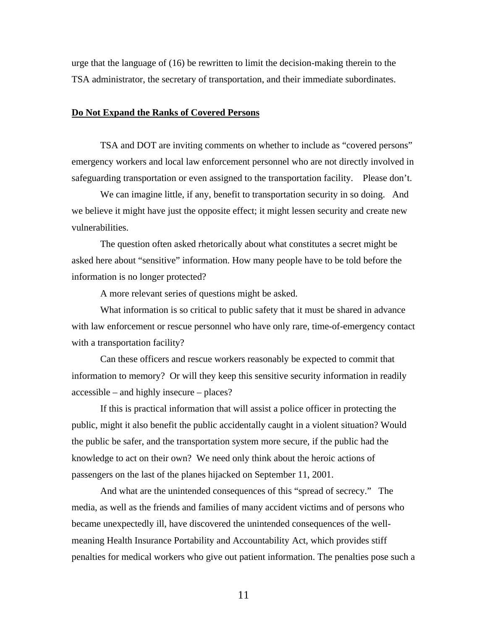urge that the language of (16) be rewritten to limit the decision-making therein to the TSA administrator, the secretary of transportation, and their immediate subordinates.

#### **Do Not Expand the Ranks of Covered Persons**

TSA and DOT are inviting comments on whether to include as "covered persons" emergency workers and local law enforcement personnel who are not directly involved in safeguarding transportation or even assigned to the transportation facility. Please don't.

We can imagine little, if any, benefit to transportation security in so doing. And we believe it might have just the opposite effect; it might lessen security and create new vulnerabilities.

The question often asked rhetorically about what constitutes a secret might be asked here about "sensitive" information. How many people have to be told before the information is no longer protected?

A more relevant series of questions might be asked.

What information is so critical to public safety that it must be shared in advance with law enforcement or rescue personnel who have only rare, time-of-emergency contact with a transportation facility?

Can these officers and rescue workers reasonably be expected to commit that information to memory? Or will they keep this sensitive security information in readily accessible – and highly insecure – places?

If this is practical information that will assist a police officer in protecting the public, might it also benefit the public accidentally caught in a violent situation? Would the public be safer, and the transportation system more secure, if the public had the knowledge to act on their own? We need only think about the heroic actions of passengers on the last of the planes hijacked on September 11, 2001.

And what are the unintended consequences of this "spread of secrecy." The media, as well as the friends and families of many accident victims and of persons who became unexpectedly ill, have discovered the unintended consequences of the wellmeaning Health Insurance Portability and Accountability Act, which provides stiff penalties for medical workers who give out patient information. The penalties pose such a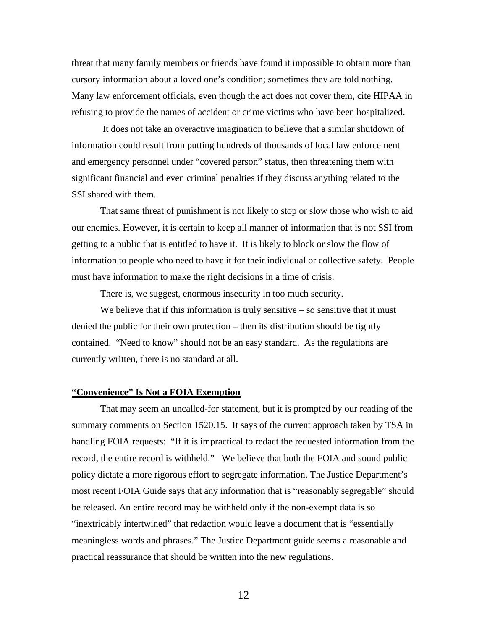threat that many family members or friends have found it impossible to obtain more than cursory information about a loved one's condition; sometimes they are told nothing. Many law enforcement officials, even though the act does not cover them, cite HIPAA in refusing to provide the names of accident or crime victims who have been hospitalized.

 It does not take an overactive imagination to believe that a similar shutdown of information could result from putting hundreds of thousands of local law enforcement and emergency personnel under "covered person" status, then threatening them with significant financial and even criminal penalties if they discuss anything related to the SSI shared with them.

That same threat of punishment is not likely to stop or slow those who wish to aid our enemies. However, it is certain to keep all manner of information that is not SSI from getting to a public that is entitled to have it. It is likely to block or slow the flow of information to people who need to have it for their individual or collective safety. People must have information to make the right decisions in a time of crisis.

There is, we suggest, enormous insecurity in too much security.

We believe that if this information is truly sensitive  $-$  so sensitive that it must denied the public for their own protection – then its distribution should be tightly contained. "Need to know" should not be an easy standard. As the regulations are currently written, there is no standard at all.

### **"Convenience" Is Not a FOIA Exemption**

That may seem an uncalled-for statement, but it is prompted by our reading of the summary comments on Section 1520.15. It says of the current approach taken by TSA in handling FOIA requests: "If it is impractical to redact the requested information from the record, the entire record is withheld." We believe that both the FOIA and sound public policy dictate a more rigorous effort to segregate information. The Justice Department's most recent FOIA Guide says that any information that is "reasonably segregable" should be released. An entire record may be withheld only if the non-exempt data is so "inextricably intertwined" that redaction would leave a document that is "essentially meaningless words and phrases." The Justice Department guide seems a reasonable and practical reassurance that should be written into the new regulations.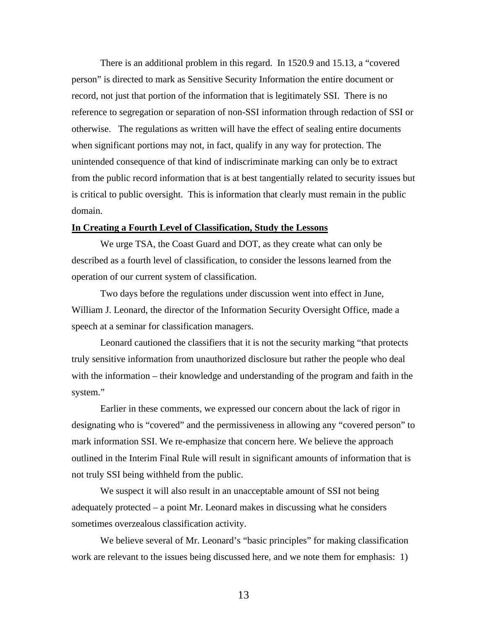There is an additional problem in this regard. In 1520.9 and 15.13, a "covered person" is directed to mark as Sensitive Security Information the entire document or record, not just that portion of the information that is legitimately SSI. There is no reference to segregation or separation of non-SSI information through redaction of SSI or otherwise. The regulations as written will have the effect of sealing entire documents when significant portions may not, in fact, qualify in any way for protection. The unintended consequence of that kind of indiscriminate marking can only be to extract from the public record information that is at best tangentially related to security issues but is critical to public oversight. This is information that clearly must remain in the public domain.

# **In Creating a Fourth Level of Classification, Study the Lessons**

We urge TSA, the Coast Guard and DOT, as they create what can only be described as a fourth level of classification, to consider the lessons learned from the operation of our current system of classification.

Two days before the regulations under discussion went into effect in June, William J. Leonard, the director of the Information Security Oversight Office, made a speech at a seminar for classification managers.

Leonard cautioned the classifiers that it is not the security marking "that protects truly sensitive information from unauthorized disclosure but rather the people who deal with the information – their knowledge and understanding of the program and faith in the system."

Earlier in these comments, we expressed our concern about the lack of rigor in designating who is "covered" and the permissiveness in allowing any "covered person" to mark information SSI. We re-emphasize that concern here. We believe the approach outlined in the Interim Final Rule will result in significant amounts of information that is not truly SSI being withheld from the public.

We suspect it will also result in an unacceptable amount of SSI not being adequately protected – a point Mr. Leonard makes in discussing what he considers sometimes overzealous classification activity.

We believe several of Mr. Leonard's "basic principles" for making classification work are relevant to the issues being discussed here, and we note them for emphasis: 1)